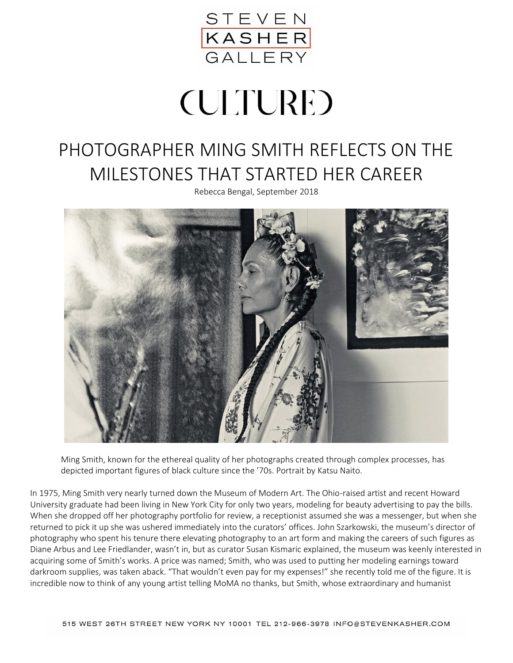

## **(ULTURE)**

## PHOTOGRAPHER MING SMITH REFLECTS ON THE MILESTONES THAT STARTED HER CAREER

Rebecca Bengal, September 2018



Ming Smith, known for the ethereal quality of her photographs created through complex processes, has depicted important figures of black culture since the '70s. Portrait by Katsu Naito.

In 1975, Ming Smith very nearly turned down the Museum of Modern Art. The Ohio-raised artist and recent Howard University graduate had been living in New York City for only two years, modeling for beauty advertising to pay the bills. When she dropped off her photography portfolio for review, a receptionist assumed she was a messenger, but when she returned to pick it up she was ushered immediately into the curators' offices. John Szarkowski, the museum's director of photography who spent his tenure there elevating photography to an art form and making the careers of such figures as Diane Arbus and Lee Friedlander, wasn't in, but as curator Susan Kismaric explained, the museum was keenly interested in acquiring some of Smith's works. A price was named; Smith, who was used to putting her modeling earnings toward darkroom supplies, was taken aback. "That wouldn't even pay for my expenses!" she recently told me of the figure. It is incredible now to think of any young artist telling MoMA no thanks, but Smith, whose extraordinary and humanist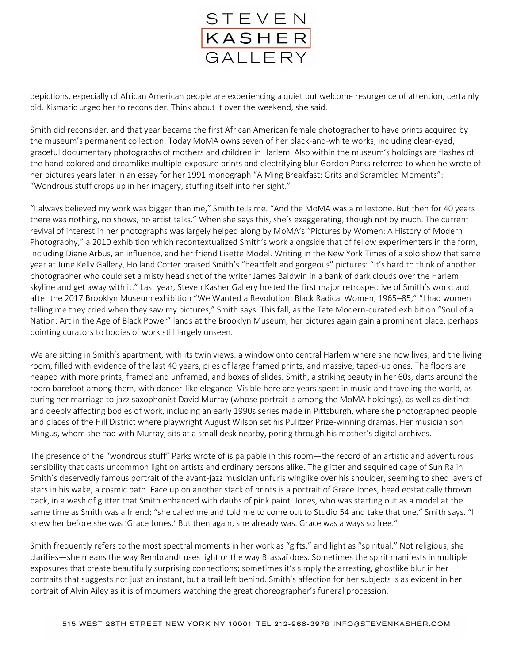

depictions, especially of African American people are experiencing a quiet but welcome resurgence of attention, certainly did. Kismaric urged her to reconsider. Think about it over the weekend, she said.

Smith did reconsider, and that year became the first African American female photographer to have prints acquired by the museum's permanent collection. Today MoMA owns seven of her black-and-white works, including clear-eyed, graceful documentary photographs of mothers and children in Harlem. Also within the museum's holdings are flashes of the hand-colored and dreamlike multiple-exposure prints and electrifying blur Gordon Parks referred to when he wrote of her pictures years later in an essay for her 1991 monograph "A Ming Breakfast: Grits and Scrambled Moments": "Wondrous stuff crops up in her imagery, stuffing itself into her sight."

"I always believed my work was bigger than me," Smith tells me. "And the MoMA was a milestone. But then for 40 years there was nothing, no shows, no artist talks." When she says this, she's exaggerating, though not by much. The current revival of interest in her photographs was largely helped along by MoMA's "Pictures by Women: A History of Modern Photography," a 2010 exhibition which recontextualized Smith's work alongside that of fellow experimenters in the form, including Diane Arbus, an influence, and her friend Lisette Model. Writing in the New York Times of a solo show that same year at June Kelly Gallery, Holland Cotter praised Smith's "heartfelt and gorgeous" pictures: "It's hard to think of another photographer who could set a misty head shot of the writer James Baldwin in a bank of dark clouds over the Harlem skyline and get away with it." Last year, Steven Kasher Gallery hosted the first major retrospective of Smith's work; and after the 2017 Brooklyn Museum exhibition "We Wanted a Revolution: Black Radical Women, 1965–85," "I had women telling me they cried when they saw my pictures," Smith says. This fall, as the Tate Modern-curated exhibition "Soul of a Nation: Art in the Age of Black Power" lands at the Brooklyn Museum, her pictures again gain a prominent place, perhaps pointing curators to bodies of work still largely unseen.

We are sitting in Smith's apartment, with its twin views: a window onto central Harlem where she now lives, and the living room, filled with evidence of the last 40 years, piles of large framed prints, and massive, taped-up ones. The floors are heaped with more prints, framed and unframed, and boxes of slides. Smith, a striking beauty in her 60s, darts around the room barefoot among them, with dancer-like elegance. Visible here are years spent in music and traveling the world, as during her marriage to jazz saxophonist David Murray (whose portrait is among the MoMA holdings), as well as distinct and deeply affecting bodies of work, including an early 1990s series made in Pittsburgh, where she photographed people and places of the Hill District where playwright August Wilson set his Pulitzer Prize-winning dramas. Her musician son Mingus, whom she had with Murray, sits at a small desk nearby, poring through his mother's digital archives.

The presence of the "wondrous stuff" Parks wrote of is palpable in this room—the record of an artistic and adventurous sensibility that casts uncommon light on artists and ordinary persons alike. The glitter and sequined cape of Sun Ra in Smith's deservedly famous portrait of the avant-jazz musician unfurls winglike over his shoulder, seeming to shed layers of stars in his wake, a cosmic path. Face up on another stack of prints is a portrait of Grace Jones, head ecstatically thrown back, in a wash of glitter that Smith enhanced with daubs of pink paint. Jones, who was starting out as a model at the same time as Smith was a friend; "she called me and told me to come out to Studio 54 and take that one," Smith says. "I knew her before she was 'Grace Jones.' But then again, she already was. Grace was always so free."

Smith frequently refers to the most spectral moments in her work as "gifts," and light as "spiritual." Not religious, she clarifies—she means the way Rembrandt uses light or the way Brassaï does. Sometimes the spirit manifests in multiple exposures that create beautifully surprising connections; sometimes it's simply the arresting, ghostlike blur in her portraits that suggests not just an instant, but a trail left behind. Smith's affection for her subjects is as evident in her portrait of Alvin Ailey as it is of mourners watching the great choreographer's funeral procession.